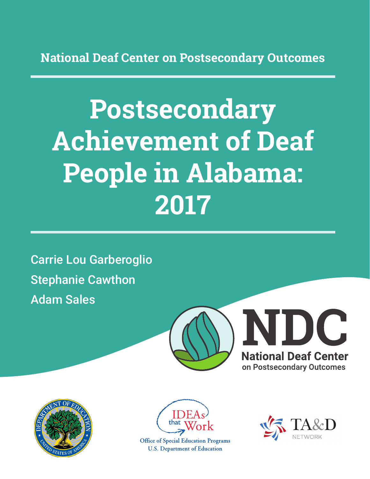**National Deaf Center on Postsecondary Outcomes**

# **Postsecondary Achievement of Deaf People in Alabama: 2017**

Carrie Lou Garberoglio Stephanie Cawthon Adam Sales







**Office of Special Education Programs U.S. Department of Education** 

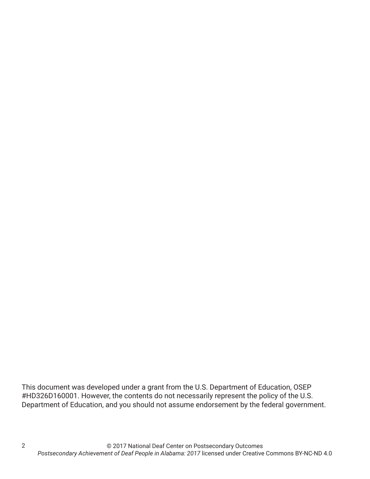This document was developed under a grant from the U.S. Department of Education, OSEP #HD326D160001. However, the contents do not necessarily represent the policy of the U.S. Department of Education, and you should not assume endorsement by the federal government.

2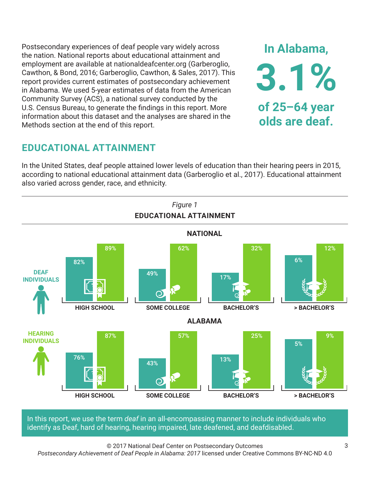Postsecondary experiences of deaf people vary widely across the nation. National reports about educational attainment and employment are available at nationaldeafcenter.org (Garberoglio, Cawthon, & Bond, 2016; Garberoglio, Cawthon, & Sales, 2017). This report provides current estimates of postsecondary achievement in Alabama. We used 5-year estimates of data from the American Community Survey (ACS), a national survey conducted by the U.S. Census Bureau, to generate the findings in this report. More information about this dataset and the analyses are shared in the Methods section at the end of this report.

## **EDUCATIONAL ATTAINMENT**

In the United States, deaf people attained lower levels of education than their hearing peers in 2015, according to national educational attainment data (Garberoglio et al., 2017). Educational attainment also varied across gender, race, and ethnicity.



In this report, we use the term *deaf* in an all-encompassing manner to include individuals who identify as Deaf, hard of hearing, hearing impaired, late deafened, and deafdisabled.

© 2017 National Deaf Center on Postsecondary Outcomes

*Postsecondary Achievement of Deaf People in Alabama: 2017* licensed under Creative Commons BY-NC-ND 4.0

**In Alabama,**

**3.1%**

**of 25–64 year**

**olds are deaf.**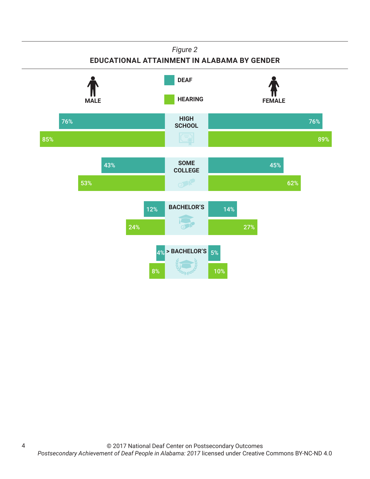

4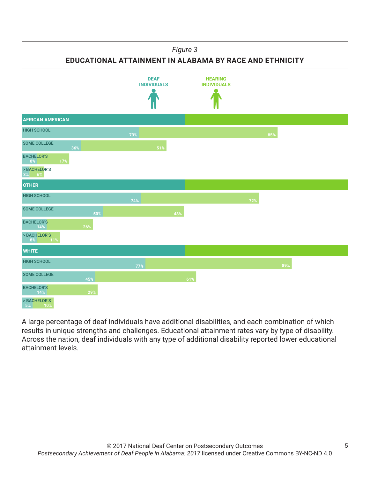*Figure 3*

**EDUCATIONAL ATTAINMENT IN ALABAMA BY RACE AND ETHNICITY**



A large percentage of deaf individuals have additional disabilities, and each combination of which results in unique strengths and challenges. Educational attainment rates vary by type of disability. Across the nation, deaf individuals with any type of additional disability reported lower educational attainment levels.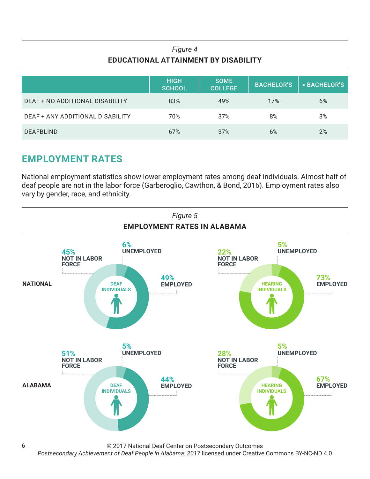## *Figure 4* **EDUCATIONAL ATTAINMENT BY DISABILITY**

|                                  | <b>HIGH</b><br>SCHOOL | <b>SOME</b><br><b>COLLEGE</b> | <b>BACHELOR'S</b> | > BACHELOR'S |
|----------------------------------|-----------------------|-------------------------------|-------------------|--------------|
| DEAF + NO ADDITIONAL DISABILITY  | 83%                   | 49%                           | 17%               | 6%           |
| DEAF + ANY ADDITIONAL DISABILITY | 70%                   | 37%                           | 8%                | 3%           |
| <b>DEAFBLIND</b>                 | 67%                   | 37%                           | 6%                | 2%           |

## **EMPLOYMENT RATES**

National employment statistics show lower employment rates among deaf individuals. Almost half of deaf people are not in the labor force (Garberoglio, Cawthon, & Bond, 2016). Employment rates also vary by gender, race, and ethnicity.



© 2017 National Deaf Center on Postsecondary Outcomes

*Postsecondary Achievement of Deaf People in Alabama: 2017* licensed under Creative Commons BY-NC-ND 4.0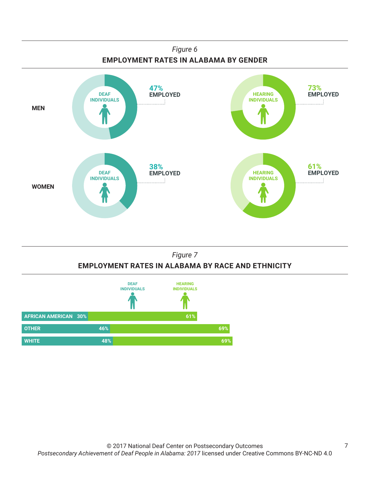

## *Figure 7* **EMPLOYMENT RATES IN ALABAMA BY RACE AND ETHNICITY**

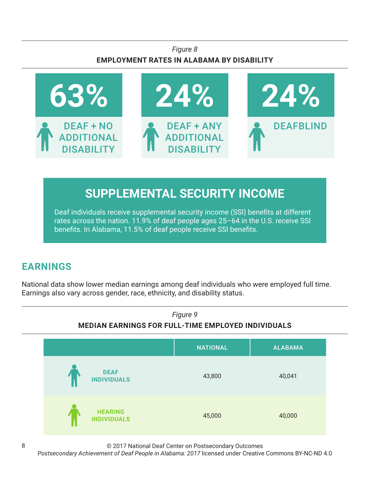## *Figure 8* **EMPLOYMENT RATES IN ALABAMA BY DISABILITY**



# **SUPPLEMENTAL SECURITY INCOME**

Deaf individuals receive supplemental security income (SSI) benefits at different rates across the nation. 11.9% of deaf people ages 25–64 in the U.S. receive SSI benefits. In Alabama, 11.5% of deaf people receive SSI benefits.

## **EARNINGS**

National data show lower median earnings among deaf individuals who were employed full time. Earnings also vary across gender, race, ethnicity, and disability status.



© 2017 National Deaf Center on Postsecondary Outcomes

*Postsecondary Achievement of Deaf People in Alabama: 2017* licensed under Creative Commons BY-NC-ND 4.0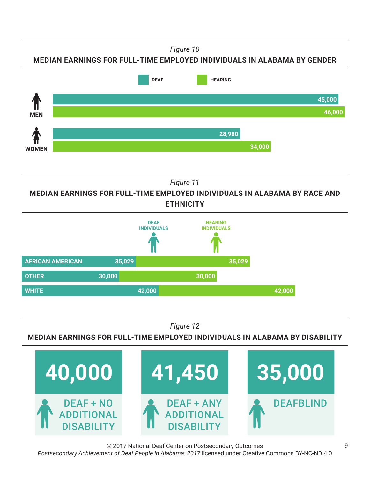*Figure 10*

**MEDIAN EARNINGS FOR FULL-TIME EMPLOYED INDIVIDUALS IN ALABAMA BY GENDER**



*Figure 11*

**MEDIAN EARNINGS FOR FULL-TIME EMPLOYED INDIVIDUALS IN ALABAMA BY RACE AND ETHNICITY**



*Figure 12*

**MEDIAN EARNINGS FOR FULL-TIME EMPLOYED INDIVIDUALS IN ALABAMA BY DISABILITY**



© 2017 National Deaf Center on Postsecondary Outcomes *Postsecondary Achievement of Deaf People in Alabama: 2017* licensed under Creative Commons BY-NC-ND 4.0